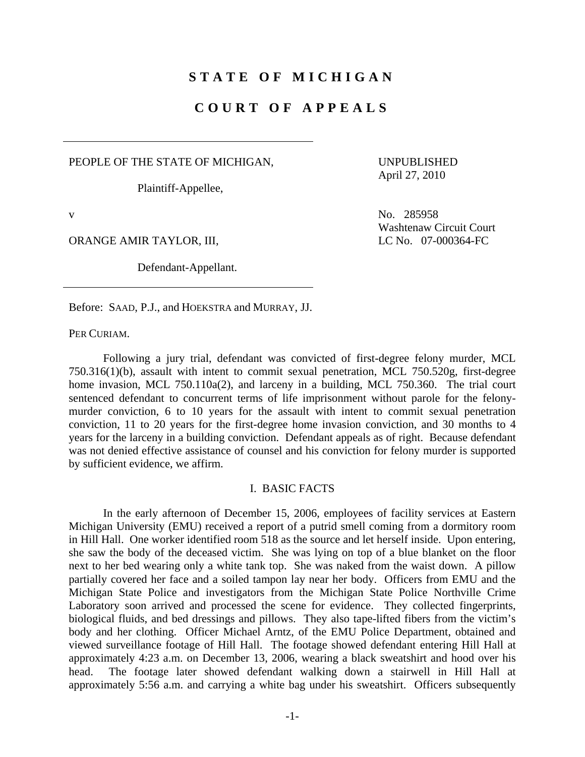## **STATE OF MICHIGAN**

# **COURT OF APPEALS**

PEOPLE OF THE STATE OF MICHIGAN,

Plaintiff-Appellee,

 UNPUBLISHED April 27, 2010

ORANGE AMIR TAYLOR, III, LC No. 07-000364-FC

Defendant-Appellant.

v No. 285958 Washtenaw Circuit Court

Before: SAAD, P.J., and HOEKSTRA and MURRAY, JJ.

PER CURIAM.

 Following a jury trial, defendant was convicted of first-degree felony murder, MCL 750.316(1)(b), assault with intent to commit sexual penetration, MCL 750.520g, first-degree home invasion, MCL 750.110a(2), and larceny in a building, MCL 750.360. The trial court sentenced defendant to concurrent terms of life imprisonment without parole for the felonymurder conviction, 6 to 10 years for the assault with intent to commit sexual penetration conviction, 11 to 20 years for the first-degree home invasion conviction, and 30 months to 4 years for the larceny in a building conviction. Defendant appeals as of right. Because defendant was not denied effective assistance of counsel and his conviction for felony murder is supported by sufficient evidence, we affirm.

## I. BASIC FACTS

 In the early afternoon of December 15, 2006, employees of facility services at Eastern Michigan University (EMU) received a report of a putrid smell coming from a dormitory room in Hill Hall. One worker identified room 518 as the source and let herself inside. Upon entering, she saw the body of the deceased victim. She was lying on top of a blue blanket on the floor next to her bed wearing only a white tank top. She was naked from the waist down. A pillow partially covered her face and a soiled tampon lay near her body. Officers from EMU and the Michigan State Police and investigators from the Michigan State Police Northville Crime Laboratory soon arrived and processed the scene for evidence. They collected fingerprints, biological fluids, and bed dressings and pillows. They also tape-lifted fibers from the victim's body and her clothing. Officer Michael Arntz, of the EMU Police Department, obtained and viewed surveillance footage of Hill Hall. The footage showed defendant entering Hill Hall at approximately 4:23 a.m. on December 13, 2006, wearing a black sweatshirt and hood over his head. The footage later showed defendant walking down a stairwell in Hill Hall at approximately 5:56 a.m. and carrying a white bag under his sweatshirt. Officers subsequently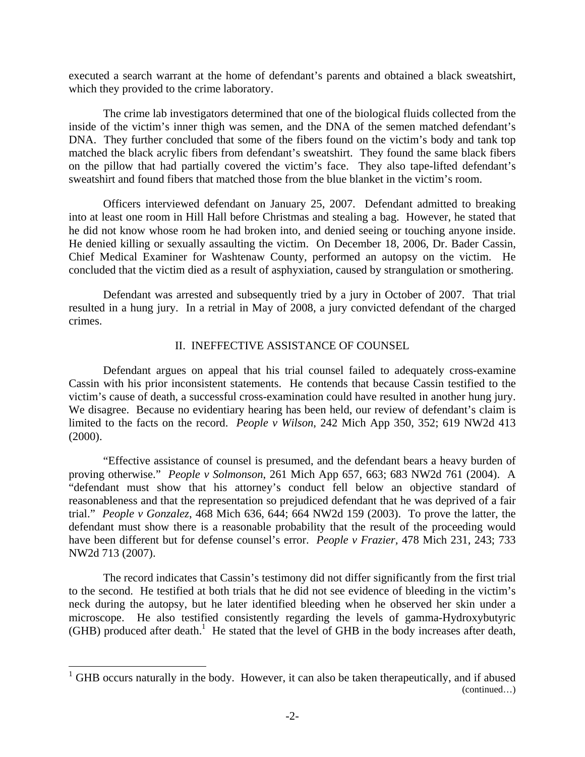executed a search warrant at the home of defendant's parents and obtained a black sweatshirt, which they provided to the crime laboratory.

 The crime lab investigators determined that one of the biological fluids collected from the inside of the victim's inner thigh was semen, and the DNA of the semen matched defendant's DNA. They further concluded that some of the fibers found on the victim's body and tank top matched the black acrylic fibers from defendant's sweatshirt. They found the same black fibers on the pillow that had partially covered the victim's face. They also tape-lifted defendant's sweatshirt and found fibers that matched those from the blue blanket in the victim's room.

 Officers interviewed defendant on January 25, 2007. Defendant admitted to breaking into at least one room in Hill Hall before Christmas and stealing a bag. However, he stated that he did not know whose room he had broken into, and denied seeing or touching anyone inside. He denied killing or sexually assaulting the victim. On December 18, 2006, Dr. Bader Cassin, Chief Medical Examiner for Washtenaw County, performed an autopsy on the victim. He concluded that the victim died as a result of asphyxiation, caused by strangulation or smothering.

 Defendant was arrested and subsequently tried by a jury in October of 2007. That trial resulted in a hung jury. In a retrial in May of 2008, a jury convicted defendant of the charged crimes.

#### II. INEFFECTIVE ASSISTANCE OF COUNSEL

 Defendant argues on appeal that his trial counsel failed to adequately cross-examine Cassin with his prior inconsistent statements. He contends that because Cassin testified to the victim's cause of death, a successful cross-examination could have resulted in another hung jury. We disagree. Because no evidentiary hearing has been held, our review of defendant's claim is limited to the facts on the record. *People v Wilson*, 242 Mich App 350, 352; 619 NW2d 413 (2000).

 "Effective assistance of counsel is presumed, and the defendant bears a heavy burden of proving otherwise." *People v Solmonson*, 261 Mich App 657, 663; 683 NW2d 761 (2004). A "defendant must show that his attorney's conduct fell below an objective standard of reasonableness and that the representation so prejudiced defendant that he was deprived of a fair trial." *People v Gonzalez*, 468 Mich 636, 644; 664 NW2d 159 (2003). To prove the latter, the defendant must show there is a reasonable probability that the result of the proceeding would have been different but for defense counsel's error. *People v Frazier,* 478 Mich 231, 243; 733 NW2d 713 (2007).

 The record indicates that Cassin's testimony did not differ significantly from the first trial to the second. He testified at both trials that he did not see evidence of bleeding in the victim's neck during the autopsy, but he later identified bleeding when he observed her skin under a microscope. He also testified consistently regarding the levels of gamma-Hydroxybutyric (GHB) produced after death.<sup>1</sup> He stated that the level of GHB in the body increases after death,

 $\overline{a}$ 

 $1$  GHB occurs naturally in the body. However, it can also be taken therapeutically, and if abused (continued…)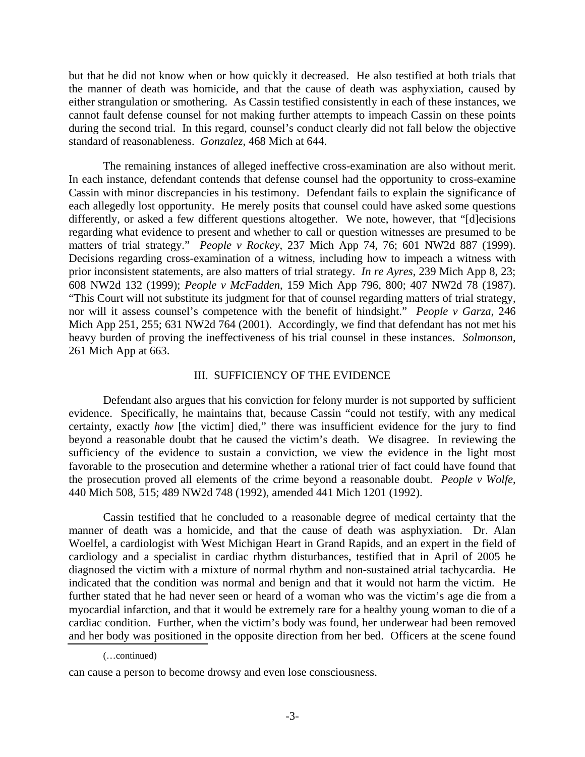but that he did not know when or how quickly it decreased. He also testified at both trials that the manner of death was homicide, and that the cause of death was asphyxiation, caused by either strangulation or smothering. As Cassin testified consistently in each of these instances, we cannot fault defense counsel for not making further attempts to impeach Cassin on these points during the second trial. In this regard, counsel's conduct clearly did not fall below the objective standard of reasonableness. *Gonzalez*, 468 Mich at 644.

 The remaining instances of alleged ineffective cross-examination are also without merit. In each instance, defendant contends that defense counsel had the opportunity to cross-examine Cassin with minor discrepancies in his testimony. Defendant fails to explain the significance of each allegedly lost opportunity. He merely posits that counsel could have asked some questions differently, or asked a few different questions altogether. We note, however, that "[d]ecisions regarding what evidence to present and whether to call or question witnesses are presumed to be matters of trial strategy." *People v Rockey*, 237 Mich App 74, 76; 601 NW2d 887 (1999). Decisions regarding cross-examination of a witness, including how to impeach a witness with prior inconsistent statements, are also matters of trial strategy. *In re Ayres*, 239 Mich App 8, 23; 608 NW2d 132 (1999); *People v McFadden*, 159 Mich App 796, 800; 407 NW2d 78 (1987). "This Court will not substitute its judgment for that of counsel regarding matters of trial strategy, nor will it assess counsel's competence with the benefit of hindsight." *People v Garza*, 246 Mich App 251, 255; 631 NW2d 764 (2001). Accordingly, we find that defendant has not met his heavy burden of proving the ineffectiveness of his trial counsel in these instances. *Solmonson*, 261 Mich App at 663.

#### III. SUFFICIENCY OF THE EVIDENCE

 Defendant also argues that his conviction for felony murder is not supported by sufficient evidence. Specifically, he maintains that, because Cassin "could not testify, with any medical certainty, exactly *how* [the victim] died," there was insufficient evidence for the jury to find beyond a reasonable doubt that he caused the victim's death. We disagree. In reviewing the sufficiency of the evidence to sustain a conviction, we view the evidence in the light most favorable to the prosecution and determine whether a rational trier of fact could have found that the prosecution proved all elements of the crime beyond a reasonable doubt. *People v Wolfe*, 440 Mich 508, 515; 489 NW2d 748 (1992), amended 441 Mich 1201 (1992).

 Cassin testified that he concluded to a reasonable degree of medical certainty that the manner of death was a homicide, and that the cause of death was asphyxiation. Dr. Alan Woelfel, a cardiologist with West Michigan Heart in Grand Rapids, and an expert in the field of cardiology and a specialist in cardiac rhythm disturbances, testified that in April of 2005 he diagnosed the victim with a mixture of normal rhythm and non-sustained atrial tachycardia. He indicated that the condition was normal and benign and that it would not harm the victim. He further stated that he had never seen or heard of a woman who was the victim's age die from a myocardial infarction, and that it would be extremely rare for a healthy young woman to die of a cardiac condition. Further, when the victim's body was found, her underwear had been removed and her body was positioned in the opposite direction from her bed. Officers at the scene found

 <sup>(…</sup>continued)

can cause a person to become drowsy and even lose consciousness.